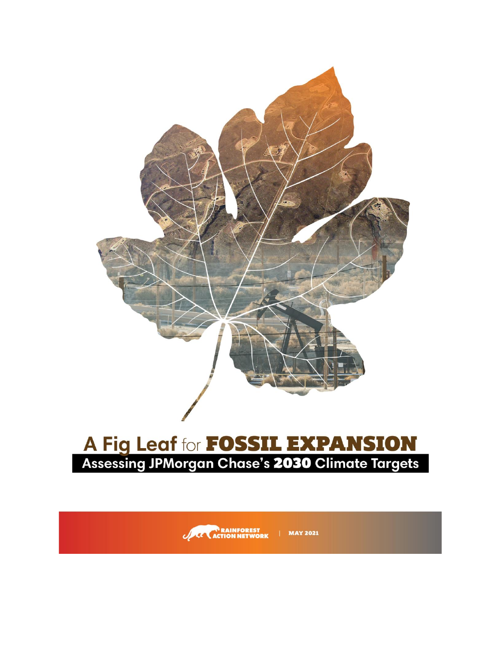

# A Fig Leaf for **FOSSIL EXPANSION**<br>Assessing JPMorgan Chase's 2030 Climate Targets

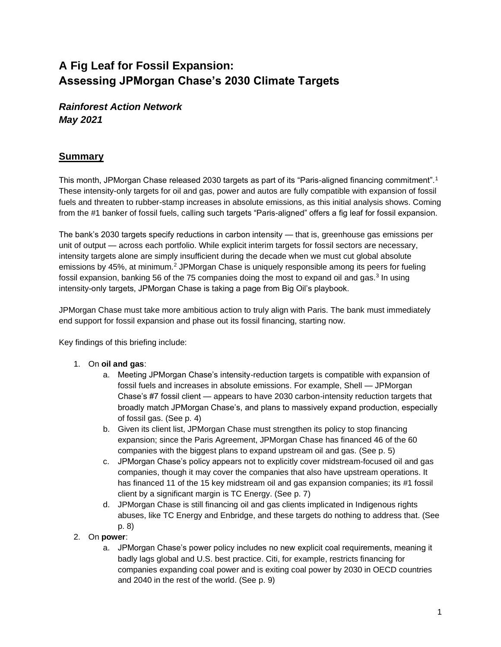## **A Fig Leaf for Fossil Expansion: Assessing JPMorgan Chase's 2030 Climate Targets**

*Rainforest Action Network May 2021*

## **Summary**

This month, JPMorgan Chase released 2030 targets as part of its "Paris-aligned financing commitment".<sup>1</sup> These intensity-only targets for oil and gas, power and autos are fully compatible with expansion of fossil fuels and threaten to rubber-stamp increases in absolute emissions, as this initial analysis shows. Coming from the #1 banker of fossil fuels, calling such targets "Paris-aligned" offers a fig leaf for fossil expansion.

The bank's 2030 targets specify reductions in carbon intensity — that is, greenhouse gas emissions per unit of output — across each portfolio. While explicit interim targets for fossil sectors are necessary, intensity targets alone are simply insufficient during the decade when we must cut global absolute emissions by 45%, at minimum.<sup>2</sup> JPMorgan Chase is uniquely responsible among its peers for fueling fossil expansion, banking 56 of the 75 companies doing the most to expand oil and gas.<sup>3</sup> In using intensity-only targets, JPMorgan Chase is taking a page from Big Oil's playbook.

JPMorgan Chase must take more ambitious action to truly align with Paris. The bank must immediately end support for fossil expansion and phase out its fossil financing, starting now.

Key findings of this briefing include:

- 1. On **oil and gas**:
	- a. Meeting JPMorgan Chase's intensity-reduction targets is compatible with expansion of fossil fuels and increases in absolute emissions. For example, Shell — JPMorgan Chase's #7 fossil client — appears to have 2030 carbon-intensity reduction targets that broadly match JPMorgan Chase's, and plans to massively expand production, especially of fossil gas. (See p. 4)
	- b. Given its client list, JPMorgan Chase must strengthen its policy to stop financing expansion; since the Paris Agreement, JPMorgan Chase has financed 46 of the 60 companies with the biggest plans to expand upstream oil and gas. (See p. 5)
	- c. JPMorgan Chase's policy appears not to explicitly cover midstream-focused oil and gas companies, though it may cover the companies that also have upstream operations. It has financed 11 of the 15 key midstream oil and gas expansion companies; its #1 fossil client by a significant margin is TC Energy. (See p. 7)
	- d. JPMorgan Chase is still financing oil and gas clients implicated in Indigenous rights abuses, like TC Energy and Enbridge, and these targets do nothing to address that. (See p. 8)
- 2. On **power**:
	- a. JPMorgan Chase's power policy includes no new explicit coal requirements, meaning it badly lags global and U.S. best practice. Citi, for example, restricts financing for companies expanding coal power and is exiting coal power by 2030 in OECD countries and 2040 in the rest of the world. (See p. 9)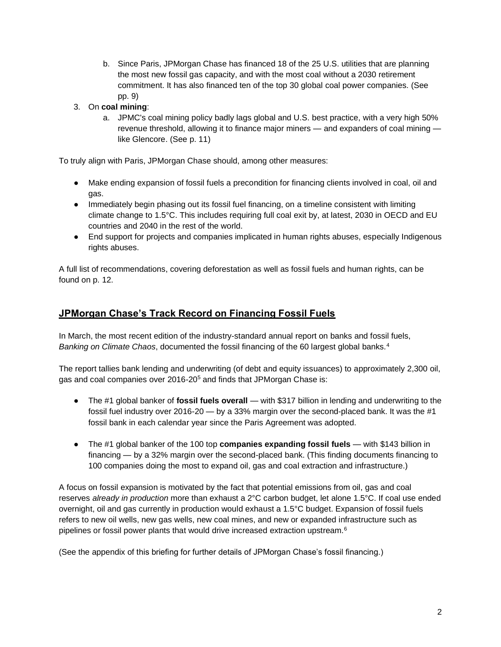- b. Since Paris, JPMorgan Chase has financed 18 of the 25 U.S. utilities that are planning the most new fossil gas capacity, and with the most coal without a 2030 retirement commitment. It has also financed ten of the top 30 global coal power companies. (See pp. 9)
- 3. On **coal mining**:
	- a. JPMC's coal mining policy badly lags global and U.S. best practice, with a very high 50% revenue threshold, allowing it to finance major miners — and expanders of coal mining like Glencore. (See p. 11)

To truly align with Paris, JPMorgan Chase should, among other measures:

- Make ending expansion of fossil fuels a precondition for financing clients involved in coal, oil and gas.
- Immediately begin phasing out its fossil fuel financing, on a timeline consistent with limiting climate change to 1.5°C. This includes requiring full coal exit by, at latest, 2030 in OECD and EU countries and 2040 in the rest of the world.
- End support for projects and companies implicated in human rights abuses, especially Indigenous rights abuses.

A full list of recommendations, covering deforestation as well as fossil fuels and human rights, can be found on p. 12.

## **JPMorgan Chase's Track Record on Financing Fossil Fuels**

In March, the most recent edition of the industry-standard annual report on banks and fossil fuels, *Banking on Climate Chaos*, documented the fossil financing of the 60 largest global banks.<sup>4</sup>

The report tallies bank lending and underwriting (of debt and equity issuances) to approximately 2,300 oil, gas and coal companies over 2016-20<sup>5</sup> and finds that JPMorgan Chase is:

- The #1 global banker of **fossil fuels overall** with \$317 billion in lending and underwriting to the fossil fuel industry over 2016-20 — by a 33% margin over the second-placed bank. It was the #1 fossil bank in each calendar year since the Paris Agreement was adopted.
- The #1 global banker of the 100 top **companies expanding fossil fuels** with \$143 billion in financing — by a 32% margin over the second-placed bank. (This finding documents financing to 100 companies doing the most to expand oil, gas and coal extraction and infrastructure.)

A focus on fossil expansion is motivated by the fact that potential emissions from oil, gas and coal reserves *already in production* more than exhaust a 2°C carbon budget, let alone 1.5°C. If coal use ended overnight, oil and gas currently in production would exhaust a 1.5°C budget. Expansion of fossil fuels refers to new oil wells, new gas wells, new coal mines, and new or expanded infrastructure such as pipelines or fossil power plants that would drive increased extraction upstream.<sup>6</sup>

(See the appendix of this briefing for further details of JPMorgan Chase's fossil financing.)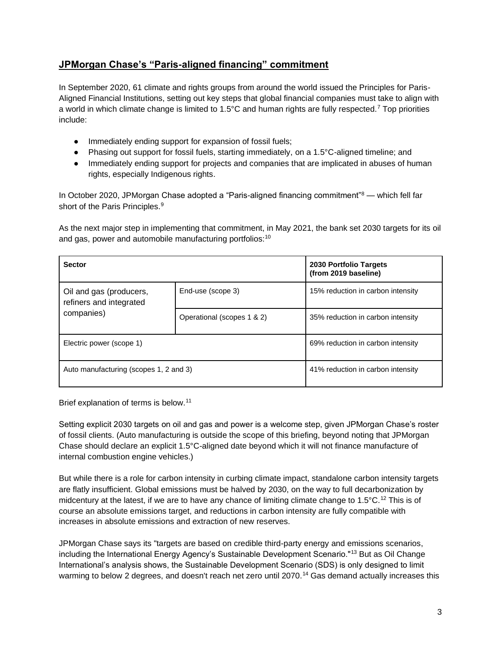## **JPMorgan Chase's "Paris-aligned financing" commitment**

In September 2020, 61 climate and rights groups from around the world issued the Principles for Paris-Aligned Financial Institutions, setting out key steps that global financial companies must take to align with a world in which climate change is limited to 1.5°C and human rights are fully respected.<sup>7</sup> Top priorities include:

- Immediately ending support for expansion of fossil fuels;
- Phasing out support for fossil fuels, starting immediately, on a 1.5°C-aligned timeline; and
- Immediately ending support for projects and companies that are implicated in abuses of human rights, especially Indigenous rights.

In October 2020, JPMorgan Chase adopted a "Paris-aligned financing commitment"<sup>8</sup> — which fell far short of the Paris Principles.<sup>9</sup>

As the next major step in implementing that commitment, in May 2021, the bank set 2030 targets for its oil and gas, power and automobile manufacturing portfolios:<sup>10</sup>

| <b>Sector</b>                                      | 2030 Portfolio Targets<br>(from 2019 baseline) |                                   |
|----------------------------------------------------|------------------------------------------------|-----------------------------------|
| Oil and gas (producers,<br>refiners and integrated | End-use (scope 3)                              | 15% reduction in carbon intensity |
| companies)                                         | Operational (scopes 1 & 2)                     | 35% reduction in carbon intensity |
| Electric power (scope 1)                           | 69% reduction in carbon intensity              |                                   |
| Auto manufacturing (scopes 1, 2 and 3)             | 41% reduction in carbon intensity              |                                   |

Brief explanation of terms is below.<sup>11</sup>

Setting explicit 2030 targets on oil and gas and power is a welcome step, given JPMorgan Chase's roster of fossil clients. (Auto manufacturing is outside the scope of this briefing, beyond noting that JPMorgan Chase should declare an explicit 1.5°C-aligned date beyond which it will not finance manufacture of internal combustion engine vehicles.)

But while there is a role for carbon intensity in curbing climate impact, standalone carbon intensity targets are flatly insufficient. Global emissions must be halved by 2030, on the way to full decarbonization by midcentury at the latest, if we are to have any chance of limiting climate change to 1.5°C.<sup>12</sup> This is of course an absolute emissions target, and reductions in carbon intensity are fully compatible with increases in absolute emissions and extraction of new reserves.

JPMorgan Chase says its "targets are based on credible third-party energy and emissions scenarios, including the International Energy Agency's Sustainable Development Scenario."<sup>13</sup> But as Oil Change International's analysis shows, the Sustainable Development Scenario (SDS) is only designed to limit warming to below 2 degrees, and doesn't reach net zero until 2070.<sup>14</sup> Gas demand actually increases this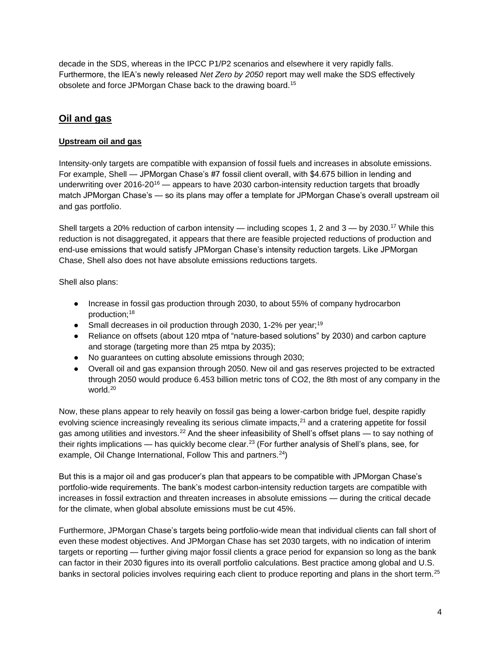decade in the SDS, whereas in the IPCC P1/P2 scenarios and elsewhere it very rapidly falls. Furthermore, the IEA's newly released *Net Zero by 2050* report may well make the SDS effectively obsolete and force JPMorgan Chase back to the drawing board.<sup>15</sup>

## **Oil and gas**

## **Upstream oil and gas**

Intensity-only targets are compatible with expansion of fossil fuels and increases in absolute emissions. For example, Shell — JPMorgan Chase's #7 fossil client overall, with \$4.675 billion in lending and underwriting over 2016-20<sup>16</sup> — appears to have 2030 carbon-intensity reduction targets that broadly match JPMorgan Chase's — so its plans may offer a template for JPMorgan Chase's overall upstream oil and gas portfolio.

Shell targets a 20% reduction of carbon intensity — including scopes 1, 2 and  $3 -$  by 2030.<sup>17</sup> While this reduction is not disaggregated, it appears that there are feasible projected reductions of production and end-use emissions that would satisfy JPMorgan Chase's intensity reduction targets. Like JPMorgan Chase, Shell also does not have absolute emissions reductions targets.

Shell also plans:

- Increase in fossil gas production through 2030, to about 55% of company hydrocarbon production;<sup>18</sup>
- Small decreases in oil production through 2030, 1-2% per year;<sup>19</sup>
- Reliance on offsets (about 120 mtpa of "nature-based solutions" by 2030) and carbon capture and storage (targeting more than 25 mtpa by 2035);
- No guarantees on cutting absolute emissions through 2030;
- Overall oil and gas expansion through 2050. New oil and gas reserves projected to be extracted through 2050 would produce 6.453 billion metric tons of CO2, the 8th most of any company in the world.<sup>20</sup>

Now, these plans appear to rely heavily on fossil gas being a lower-carbon bridge fuel, despite rapidly evolving science increasingly revealing its serious climate impacts,<sup>21</sup> and a cratering appetite for fossil gas among utilities and investors.<sup>22</sup> And the sheer infeasibility of Shell's offset plans — to say nothing of their rights implications — has quickly become clear.<sup>23</sup> (For further analysis of Shell's plans, see, for example, Oil Change International, Follow This and partners.<sup>24</sup>)

But this is a major oil and gas producer's plan that appears to be compatible with JPMorgan Chase's portfolio-wide requirements. The bank's modest carbon-intensity reduction targets are compatible with increases in fossil extraction and threaten increases in absolute emissions — during the critical decade for the climate, when global absolute emissions must be cut 45%.

Furthermore, JPMorgan Chase's targets being portfolio-wide mean that individual clients can fall short of even these modest objectives. And JPMorgan Chase has set 2030 targets, with no indication of interim targets or reporting — further giving major fossil clients a grace period for expansion so long as the bank can factor in their 2030 figures into its overall portfolio calculations. Best practice among global and U.S. banks in sectoral policies involves requiring each client to produce reporting and plans in the short term.<sup>25</sup>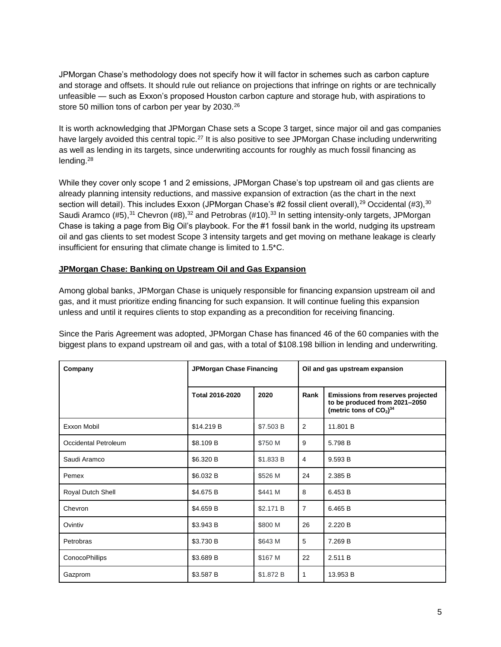JPMorgan Chase's methodology does not specify how it will factor in schemes such as carbon capture and storage and offsets. It should rule out reliance on projections that infringe on rights or are technically unfeasible — such as Exxon's proposed Houston carbon capture and storage hub, with aspirations to store 50 million tons of carbon per year by 2030.<sup>26</sup>

It is worth acknowledging that JPMorgan Chase sets a Scope 3 target, since major oil and gas companies have largely avoided this central topic.<sup>27</sup> It is also positive to see JPMorgan Chase including underwriting as well as lending in its targets, since underwriting accounts for roughly as much fossil financing as lending.<sup>28</sup>

While they cover only scope 1 and 2 emissions, JPMorgan Chase's top upstream oil and gas clients are already planning intensity reductions, and massive expansion of extraction (as the chart in the next section will detail). This includes Exxon (JPMorgan Chase's #2 fossil client overall),<sup>29</sup> Occidental (#3),<sup>30</sup> Saudi Aramco (#5),<sup>31</sup> Chevron (#8),<sup>32</sup> and Petrobras (#10).<sup>33</sup> In setting intensity-only targets, JPMorgan Chase is taking a page from Big Oil's playbook. For the #1 fossil bank in the world, nudging its upstream oil and gas clients to set modest Scope 3 intensity targets and get moving on methane leakage is clearly insufficient for ensuring that climate change is limited to 1.5\*C.

#### **JPMorgan Chase: Banking on Upstream Oil and Gas Expansion**

Among global banks, JPMorgan Chase is uniquely responsible for financing expansion upstream oil and gas, and it must prioritize ending financing for such expansion. It will continue fueling this expansion unless and until it requires clients to stop expanding as a precondition for receiving financing.

Since the Paris Agreement was adopted, JPMorgan Chase has financed 46 of the 60 companies with the biggest plans to expand upstream oil and gas, with a total of \$108.198 billion in lending and underwriting.

| Company              | JPMorgan Chase Financing |           | Oil and gas upstream expansion |                                                                                                             |  |
|----------------------|--------------------------|-----------|--------------------------------|-------------------------------------------------------------------------------------------------------------|--|
|                      | Total 2016-2020          | 2020      | Rank                           | Emissions from reserves projected<br>to be produced from 2021-2050<br>(metric tons of $CO2$ ) <sup>34</sup> |  |
| Exxon Mobil          | \$14.219 B               | \$7.503 B | 2                              | 11.801 B                                                                                                    |  |
| Occidental Petroleum | \$8.109 B                | \$750 M   | 9                              | 5.798 B                                                                                                     |  |
| Saudi Aramco         | \$6.320 B                | \$1.833 B | $\overline{4}$                 | 9.593 B                                                                                                     |  |
| Pemex                | \$6.032 B                | \$526 M   | 24                             | 2.385 B                                                                                                     |  |
| Royal Dutch Shell    | \$4.675 B                | \$441 M   | 8                              | 6.453 B                                                                                                     |  |
| Chevron              | \$4.659 B                | \$2.171 B | $\overline{7}$                 | 6.465 B                                                                                                     |  |
| Ovintiv              | \$3.943 B                | \$800 M   | 26                             | 2.220 B                                                                                                     |  |
| Petrobras            | \$3.730 B                | \$643 M   | 5                              | 7.269 B                                                                                                     |  |
| ConocoPhillips       | \$3.689 B                | \$167 M   | 22                             | 2.511 B                                                                                                     |  |
| Gazprom              | \$3.587 B                | \$1.872 B | 1                              | 13.953 B                                                                                                    |  |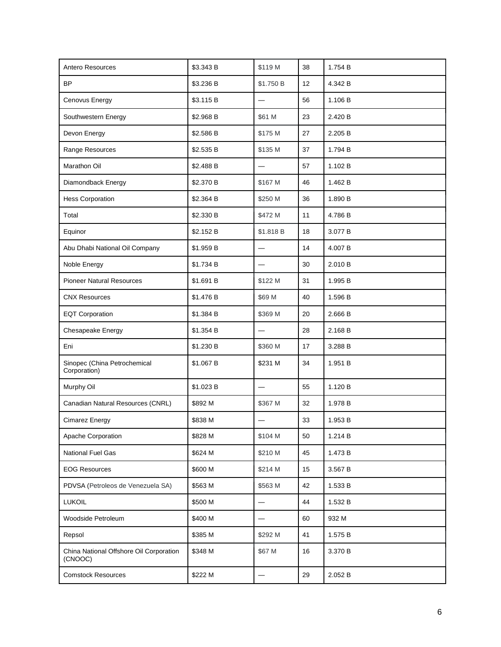| Antero Resources                                   | \$3.343 B | \$119 M                  | 38 | 1.754 B |
|----------------------------------------------------|-----------|--------------------------|----|---------|
| <b>BP</b>                                          | \$3.236 B | \$1.750 B                | 12 | 4.342 B |
| Cenovus Energy                                     | \$3.115 B | $\overline{\phantom{0}}$ | 56 | 1.106 B |
| Southwestern Energy                                | \$2.968 B | \$61 M                   | 23 | 2.420 B |
| Devon Energy                                       | \$2.586 B | \$175 M                  | 27 | 2.205 B |
| Range Resources                                    | \$2.535 B | \$135 M                  | 37 | 1.794 B |
| Marathon Oil                                       | \$2.488 B |                          | 57 | 1.102 B |
| Diamondback Energy                                 | \$2.370 B | \$167 M                  | 46 | 1.462 B |
| <b>Hess Corporation</b>                            | \$2.364 B | \$250 M                  | 36 | 1.890 B |
| Total                                              | \$2.330 B | \$472 M                  | 11 | 4.786 B |
| Equinor                                            | \$2.152 B | \$1.818 B                | 18 | 3.077 B |
| Abu Dhabi National Oil Company                     | \$1.959 B |                          | 14 | 4.007 B |
| Noble Energy                                       | \$1.734 B |                          | 30 | 2.010 B |
| <b>Pioneer Natural Resources</b>                   | \$1.691 B | \$122 M                  | 31 | 1.995 B |
| <b>CNX Resources</b>                               | \$1.476 B | \$69 M                   | 40 | 1.596 B |
| <b>EQT Corporation</b>                             | \$1.384 B | \$369 M                  | 20 | 2.666 B |
| Chesapeake Energy                                  | \$1.354 B | $\overline{\phantom{0}}$ | 28 | 2.168 B |
| Eni                                                | \$1.230 B | \$360 M                  | 17 | 3.288 B |
| Sinopec (China Petrochemical<br>Corporation)       | \$1.067 B | \$231 M                  | 34 | 1.951 B |
| Murphy Oil                                         | \$1.023 B | $\overline{\phantom{0}}$ | 55 | 1.120 B |
| Canadian Natural Resources (CNRL)                  | \$892 M   | \$367 M                  | 32 | 1.978 B |
| Cimarez Energy                                     | \$838 M   |                          | 33 | 1.953 B |
| Apache Corporation                                 | \$828 M   | \$104 M                  | 50 | 1.214 B |
| National Fuel Gas                                  | \$624 M   | \$210 M                  | 45 | 1.473 B |
| <b>EOG Resources</b>                               | \$600 M   | \$214 M                  | 15 | 3.567 B |
| PDVSA (Petroleos de Venezuela SA)                  | \$563 M   | \$563 M                  | 42 | 1.533 B |
| <b>LUKOIL</b>                                      | \$500 M   | $\overline{\phantom{0}}$ | 44 | 1.532 B |
| Woodside Petroleum                                 | \$400 M   |                          | 60 | 932 M   |
| Repsol                                             | \$385 M   | \$292 M                  | 41 | 1.575 B |
| China National Offshore Oil Corporation<br>(CNOOC) | \$348 M   | \$67 M                   | 16 | 3.370 B |
| <b>Comstock Resources</b>                          | \$222 M   |                          | 29 | 2.052 B |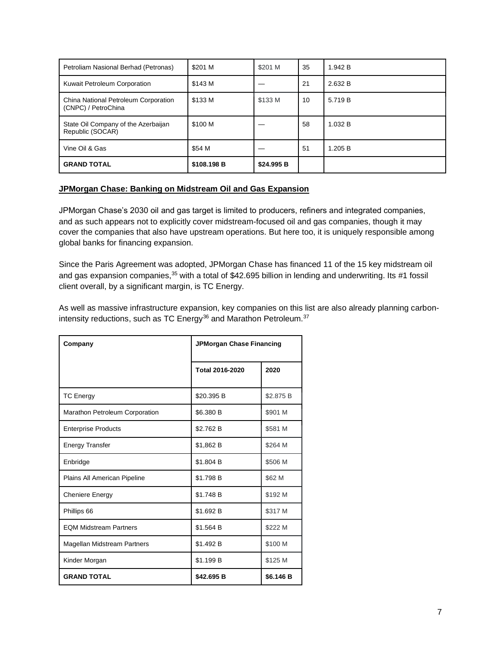| Petroliam Nasional Berhad (Petronas)                        | \$201 M     | \$201 M    | 35 | 1.942 B |
|-------------------------------------------------------------|-------------|------------|----|---------|
| Kuwait Petroleum Corporation                                | \$143 M     |            | 21 | 2.632 B |
| China National Petroleum Corporation<br>(CNPC) / PetroChina | \$133 M     | \$133 M    | 10 | 5.719 B |
| State Oil Company of the Azerbaijan<br>Republic (SOCAR)     | \$100 M     |            | 58 | 1.032 B |
| Vine Oil & Gas                                              | \$54 M      |            | 51 | 1.205 B |
| <b>GRAND TOTAL</b>                                          | \$108,198 B | \$24,995 B |    |         |

#### **JPMorgan Chase: Banking on Midstream Oil and Gas Expansion**

JPMorgan Chase's 2030 oil and gas target is limited to producers, refiners and integrated companies, and as such appears not to explicitly cover midstream-focused oil and gas companies, though it may cover the companies that also have upstream operations. But here too, it is uniquely responsible among global banks for financing expansion.

Since the Paris Agreement was adopted, JPMorgan Chase has financed 11 of the 15 key midstream oil and gas expansion companies,<sup>35</sup> with a total of \$42.695 billion in lending and underwriting. Its #1 fossil client overall, by a significant margin, is TC Energy.

As well as massive infrastructure expansion, key companies on this list are also already planning carbonintensity reductions, such as TC Energy $36$  and Marathon Petroleum. $37$ 

| Company                            | <b>JPMorgan Chase Financing</b> |           |
|------------------------------------|---------------------------------|-----------|
|                                    | <b>Total 2016-2020</b>          | 2020      |
| <b>TC Energy</b>                   | \$20.395 B                      | \$2.875 B |
| Marathon Petroleum Corporation     | \$6.380 B                       | \$901 M   |
| <b>Enterprise Products</b>         | \$2.762 B                       | \$581 M   |
| <b>Energy Transfer</b>             | \$1,862 B                       | \$264 M   |
| Enbridge                           | \$1.804 B                       | \$506 M   |
| Plains All American Pipeline       | \$1.798 B                       | \$62 M    |
| <b>Cheniere Energy</b>             | \$1.748 B                       | \$192 M   |
| Phillips 66                        | \$1.692 B                       | \$317 M   |
| <b>EQM Midstream Partners</b>      | \$1.564 B                       | \$222 M   |
| <b>Magellan Midstream Partners</b> | \$1.492 B                       | \$100 M   |
| Kinder Morgan                      | \$1.199 B                       | \$125 M   |
| <b>GRAND TOTAL</b>                 | \$42.695 B                      | \$6.146 B |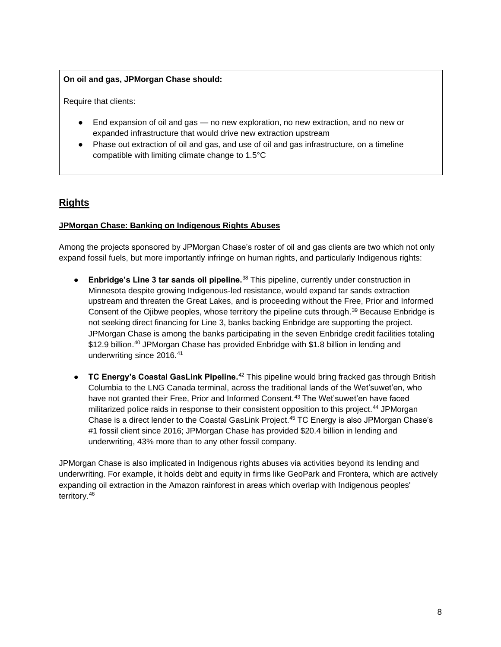#### **On oil and gas, JPMorgan Chase should:**

Require that clients:

- End expansion of oil and gas no new exploration, no new extraction, and no new or expanded infrastructure that would drive new extraction upstream
- Phase out extraction of oil and gas, and use of oil and gas infrastructure, on a timeline compatible with limiting climate change to 1.5°C

## **Rights**

#### **JPMorgan Chase: Banking on Indigenous Rights Abuses**

Among the projects sponsored by JPMorgan Chase's roster of oil and gas clients are two which not only expand fossil fuels, but more importantly infringe on human rights, and particularly Indigenous rights:

- **Enbridge's Line 3 tar sands oil pipeline.**<sup>38</sup> This pipeline, currently under construction in Minnesota despite growing Indigenous-led resistance, would expand tar sands extraction upstream and threaten the Great Lakes, and is proceeding without the Free, Prior and Informed Consent of the Ojibwe peoples, whose territory the pipeline cuts through.<sup>39</sup> Because Enbridge is not seeking direct financing for Line 3, banks backing Enbridge are supporting the project. JPMorgan Chase is among the banks participating in the seven Enbridge credit facilities totaling \$12.9 billion.<sup>40</sup> JPMorgan Chase has provided Enbridge with \$1.8 billion in lending and underwriting since 2016.<sup>41</sup>
- **TC Energy's Coastal GasLink Pipeline.**<sup>42</sup> This pipeline would bring fracked gas through British Columbia to the LNG Canada terminal, across the traditional lands of the Wet'suwet'en, who have not granted their Free, Prior and Informed Consent.<sup>43</sup> The Wet'suwet'en have faced militarized police raids in response to their consistent opposition to this project.<sup>44</sup> JPMorgan Chase is a direct lender to the Coastal GasLink Project.<sup>45</sup> TC Energy is also JPMorgan Chase's #1 fossil client since 2016; JPMorgan Chase has provided \$20.4 billion in lending and underwriting, 43% more than to any other fossil company.

JPMorgan Chase is also implicated in Indigenous rights abuses via activities beyond its lending and underwriting. For example, it holds debt and equity in firms like GeoPark and Frontera, which are actively expanding oil extraction in the Amazon rainforest in areas which overlap with Indigenous peoples' territory.46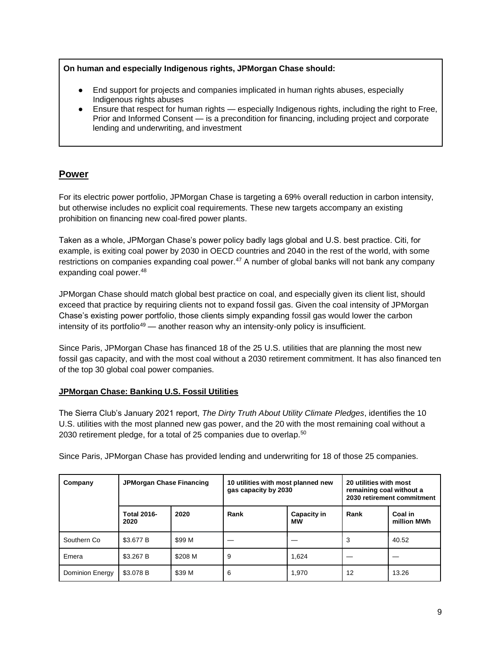#### **On human and especially Indigenous rights, JPMorgan Chase should:**

- End support for projects and companies implicated in human rights abuses, especially Indigenous rights abuses
- Ensure that respect for human rights especially Indigenous rights, including the right to Free, Prior and Informed Consent — is a precondition for financing, including project and corporate lending and underwriting, and investment

## **Power**

For its electric power portfolio, JPMorgan Chase is targeting a 69% overall reduction in carbon intensity, but otherwise includes no explicit coal requirements. These new targets accompany an existing prohibition on financing new coal-fired power plants.

Taken as a whole, JPMorgan Chase's power policy badly lags global and U.S. best practice. Citi, for example, is exiting coal power by 2030 in OECD countries and 2040 in the rest of the world, with some restrictions on companies expanding coal power.<sup>47</sup> A number of global banks will not bank any company expanding coal power.<sup>48</sup>

JPMorgan Chase should match global best practice on coal, and especially given its client list, should exceed that practice by requiring clients not to expand fossil gas. Given the coal intensity of JPMorgan Chase's existing power portfolio, those clients simply expanding fossil gas would lower the carbon intensity of its portfolio<sup>49</sup> — another reason why an intensity-only policy is insufficient.

Since Paris, JPMorgan Chase has financed 18 of the 25 U.S. utilities that are planning the most new fossil gas capacity, and with the most coal without a 2030 retirement commitment. It has also financed ten of the top 30 global coal power companies.

## **JPMorgan Chase: Banking U.S. Fossil Utilities**

The Sierra Club's January 2021 report, *The Dirty Truth About Utility Climate Pledges*, identifies the 10 U.S. utilities with the most planned new gas power, and the 20 with the most remaining coal without a 2030 retirement pledge, for a total of 25 companies due to overlap.<sup>50</sup>

Since Paris, JPMorgan Chase has provided lending and underwriting for 18 of those 25 companies.

| Company         | JPMorgan Chase Financing   |         | 10 utilities with most planned new<br>gas capacity by 2030 |                   | 20 utilities with most<br>remaining coal without a<br>2030 retirement commitment |                        |
|-----------------|----------------------------|---------|------------------------------------------------------------|-------------------|----------------------------------------------------------------------------------|------------------------|
|                 | <b>Total 2016-</b><br>2020 | 2020    | Rank                                                       | Capacity in<br>МW | Rank                                                                             | Coal in<br>million MWh |
| Southern Co     | \$3.677 B                  | \$99 M  |                                                            |                   | 3                                                                                | 40.52                  |
| Emera           | \$3.267 B                  | \$208 M | 9                                                          | 1,624             |                                                                                  |                        |
| Dominion Energy | \$3.078 B                  | \$39 M  | 6                                                          | 1,970             | 12                                                                               | 13.26                  |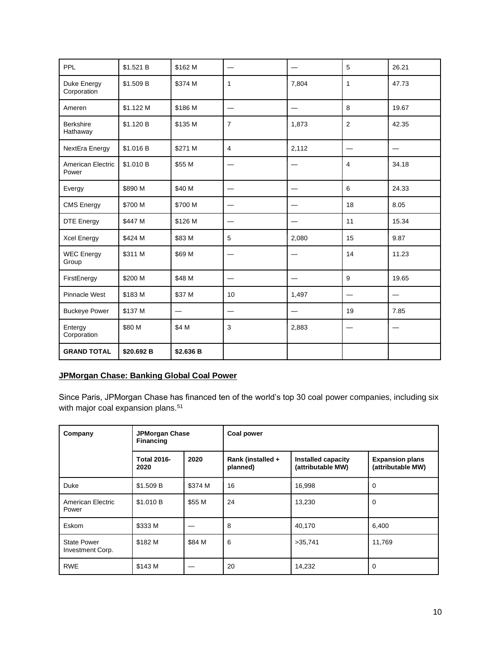| PPL                          | \$1.521 B  | \$162 M   |                |                          | 5              | 26.21 |
|------------------------------|------------|-----------|----------------|--------------------------|----------------|-------|
| Duke Energy<br>Corporation   | \$1.509 B  | \$374 M   | 1              | 7,804                    | $\mathbf{1}$   | 47.73 |
| Ameren                       | \$1.122 M  | \$186 M   |                | $\overline{\phantom{0}}$ | 8              | 19.67 |
| <b>Berkshire</b><br>Hathaway | \$1.120 B  | \$135 M   | $\overline{7}$ | 1,873                    | 2              | 42.35 |
| NextEra Energy               | \$1.016 B  | \$271 M   | $\overline{4}$ | 2,112                    |                |       |
| American Electric<br>Power   | \$1.010 B  | \$55 M    |                |                          | $\overline{4}$ | 34.18 |
| Evergy                       | \$890 M    | \$40 M    |                |                          | 6              | 24.33 |
| <b>CMS Energy</b>            | \$700 M    | \$700 M   |                |                          | 18             | 8.05  |
| <b>DTE Energy</b>            | \$447 M    | \$126 M   |                |                          | 11             | 15.34 |
| Xcel Energy                  | \$424 M    | \$83 M    | 5              | 2,080                    | 15             | 9.87  |
| <b>WEC Energy</b><br>Group   | \$311 M    | \$69 M    |                |                          | 14             | 11.23 |
| FirstEnergy                  | \$200 M    | \$48 M    |                |                          | 9              | 19.65 |
| <b>Pinnacle West</b>         | \$183 M    | \$37 M    | 10             | 1,497                    |                |       |
| <b>Buckeye Power</b>         | \$137 M    |           |                |                          | 19             | 7.85  |
| Entergy<br>Corporation       | \$80 M     | \$4 M     | 3              | 2,883                    |                |       |
| <b>GRAND TOTAL</b>           | \$20.692 B | \$2.636 B |                |                          |                |       |

## **JPMorgan Chase: Banking Global Coal Power**

Since Paris, JPMorgan Chase has financed ten of the world's top 30 coal power companies, including six with major coal expansion plans.<sup>51</sup>

| Company                                | <b>JPMorgan Chase</b><br>Financing |         | <b>Coal power</b>             |                                         |                                             |  |
|----------------------------------------|------------------------------------|---------|-------------------------------|-----------------------------------------|---------------------------------------------|--|
|                                        | <b>Total 2016-</b><br>2020         | 2020    | Rank (installed +<br>planned) | Installed capacity<br>(attributable MW) | <b>Expansion plans</b><br>(attributable MW) |  |
| Duke                                   | \$1.509 B                          | \$374 M | 16                            | 16,998                                  | 0                                           |  |
| American Electric<br>Power             | \$1.010 B                          | \$55 M  | 24                            | 13,230                                  | 0                                           |  |
| Eskom                                  | \$333 M                            |         | 8                             | 40,170                                  | 6,400                                       |  |
| <b>State Power</b><br>Investment Corp. | \$182 M                            | \$84 M  | 6                             | >35,741                                 | 11,769                                      |  |
| <b>RWE</b>                             | \$143 M                            |         | 20                            | 14,232                                  | 0                                           |  |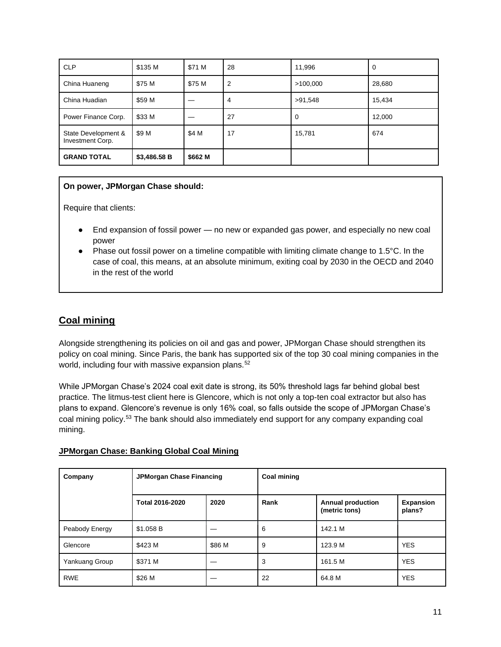| <b>CLP</b>                              | \$135 M      | \$71 M  | 28 | 11,996   | 0      |
|-----------------------------------------|--------------|---------|----|----------|--------|
| China Huaneng                           | \$75 M       | \$75 M  | 2  | >100,000 | 28,680 |
| China Huadian                           | \$59 M       |         | 4  | >91,548  | 15,434 |
| Power Finance Corp.                     | \$33 M       |         | 27 | 0        | 12,000 |
| State Development &<br>Investment Corp. | \$9 M        | \$4 M   | 17 | 15,781   | 674    |
| <b>GRAND TOTAL</b>                      | \$3,486.58 B | \$662 M |    |          |        |

#### **On power, JPMorgan Chase should:**

Require that clients:

- End expansion of fossil power no new or expanded gas power, and especially no new coal power
- Phase out fossil power on a timeline compatible with limiting climate change to 1.5°C. In the case of coal, this means, at an absolute minimum, exiting coal by 2030 in the OECD and 2040 in the rest of the world

## **Coal mining**

Alongside strengthening its policies on oil and gas and power, JPMorgan Chase should strengthen its policy on coal mining. Since Paris, the bank has supported six of the top 30 coal mining companies in the world, including four with massive expansion plans.<sup>52</sup>

While JPMorgan Chase's 2024 coal exit date is strong, its 50% threshold lags far behind global best practice. The litmus-test client here is Glencore, which is not only a top-ten coal extractor but also has plans to expand. Glencore's revenue is only 16% coal, so falls outside the scope of JPMorgan Chase's coal mining policy.<sup>53</sup> The bank should also immediately end support for any company expanding coal mining.

#### **JPMorgan Chase: Banking Global Coal Mining**

| Company        | <b>JPMorgan Chase Financing</b> |        | <b>Coal mining</b> |                                           |                            |
|----------------|---------------------------------|--------|--------------------|-------------------------------------------|----------------------------|
|                | Total 2016-2020                 | 2020   | Rank               | <b>Annual production</b><br>(metric tons) | <b>Expansion</b><br>plans? |
| Peabody Energy | \$1.058 B                       |        | 6                  | 142.1 M                                   |                            |
| Glencore       | \$423 M                         | \$86 M | 9                  | 123.9 M                                   | <b>YES</b>                 |
| Yankuang Group | \$371 M                         |        | 3                  | 161.5 M                                   | <b>YES</b>                 |
| <b>RWE</b>     | \$26 M                          |        | 22                 | 64.8 M                                    | <b>YES</b>                 |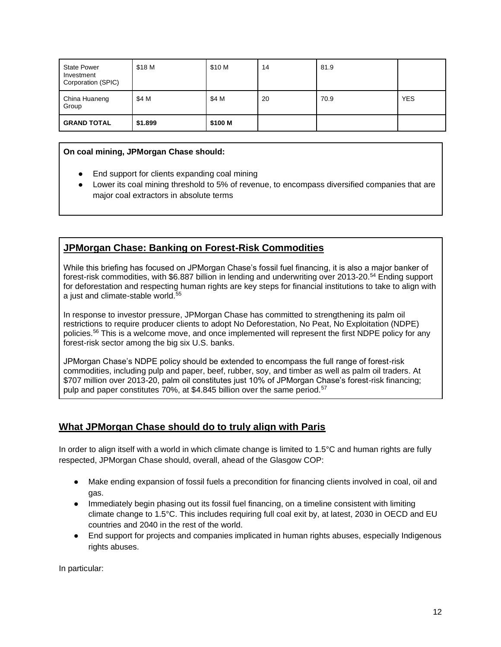| <b>State Power</b><br>Investment<br>Corporation (SPIC) | \$18 M  | \$10 M  | 14 | 81.9 |            |
|--------------------------------------------------------|---------|---------|----|------|------------|
| China Huaneng<br>Group                                 | \$4 M   | \$4 M   | 20 | 70.9 | <b>YES</b> |
| <b>GRAND TOTAL</b>                                     | \$1.899 | \$100 M |    |      |            |

#### **On coal mining, JPMorgan Chase should:**

- End support for clients expanding coal mining
- Lower its coal mining threshold to 5% of revenue, to encompass diversified companies that are major coal extractors in absolute terms

## **JPMorgan Chase: Banking on Forest-Risk Commodities**

While this briefing has focused on JPMorgan Chase's fossil fuel financing, it is also a major banker of forest-risk commodities, with \$6.887 billion in lending and underwriting over 2013-20.<sup>54</sup> Ending support for deforestation and respecting human rights are key steps for financial institutions to take to align with a just and climate-stable world.<sup>55</sup>

In response to investor pressure, JPMorgan Chase has committed to strengthening its palm oil restrictions to require producer clients to adopt No Deforestation, No Peat, No Exploitation (NDPE) policies.<sup>56</sup> This is a welcome move, and once implemented will represent the first NDPE policy for any forest-risk sector among the big six U.S. banks.

JPMorgan Chase's NDPE policy should be extended to encompass the full range of forest-risk commodities, including pulp and paper, beef, rubber, soy, and timber as well as palm oil traders. At \$707 million over 2013-20, palm oil constitutes just 10% of JPMorgan Chase's forest-risk financing; pulp and paper constitutes 70%, at \$4.845 billion over the same period.<sup>57</sup>

## **What JPMorgan Chase should do to truly align with Paris**

In order to align itself with a world in which climate change is limited to 1.5°C and human rights are fully respected, JPMorgan Chase should, overall, ahead of the Glasgow COP:

- Make ending expansion of fossil fuels a precondition for financing clients involved in coal, oil and gas.
- Immediately begin phasing out its fossil fuel financing, on a timeline consistent with limiting climate change to 1.5°C. This includes requiring full coal exit by, at latest, 2030 in OECD and EU countries and 2040 in the rest of the world.
- End support for projects and companies implicated in human rights abuses, especially Indigenous rights abuses.

In particular: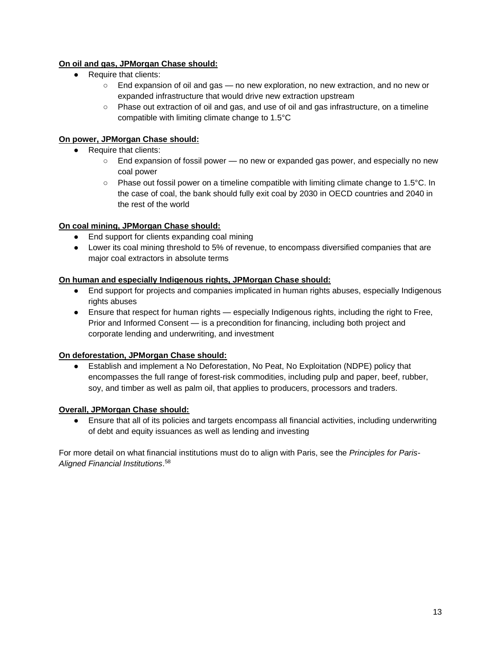## **On oil and gas, JPMorgan Chase should:**

- Require that clients:
	- End expansion of oil and gas no new exploration, no new extraction, and no new or expanded infrastructure that would drive new extraction upstream
	- Phase out extraction of oil and gas, and use of oil and gas infrastructure, on a timeline compatible with limiting climate change to 1.5°C

## **On power, JPMorgan Chase should:**

- Require that clients:
	- End expansion of fossil power no new or expanded gas power, and especially no new coal power
	- Phase out fossil power on a timeline compatible with limiting climate change to 1.5°C. In the case of coal, the bank should fully exit coal by 2030 in OECD countries and 2040 in the rest of the world

## **On coal mining, JPMorgan Chase should:**

- End support for clients expanding coal mining
- Lower its coal mining threshold to 5% of revenue, to encompass diversified companies that are major coal extractors in absolute terms

#### **On human and especially Indigenous rights, JPMorgan Chase should:**

- End support for projects and companies implicated in human rights abuses, especially Indigenous rights abuses
- Ensure that respect for human rights especially Indigenous rights, including the right to Free, Prior and Informed Consent — is a precondition for financing, including both project and corporate lending and underwriting, and investment

## **On deforestation, JPMorgan Chase should:**

● Establish and implement a No Deforestation, No Peat, No Exploitation (NDPE) policy that encompasses the full range of forest-risk commodities, including pulp and paper, beef, rubber, soy, and timber as well as palm oil, that applies to producers, processors and traders.

## **Overall, JPMorgan Chase should:**

Ensure that all of its policies and targets encompass all financial activities, including underwriting of debt and equity issuances as well as lending and investing

For more detail on what financial institutions must do to align with Paris, see the *Principles for Paris-Aligned Financial Institutions*. 58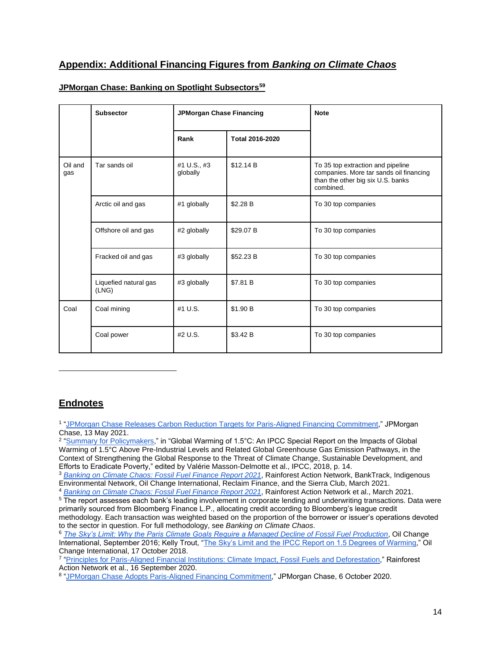## **Appendix: Additional Financing Figures from** *Banking on Climate Chaos*

|                | <b>Subsector</b>               | JPMorgan Chase Financing |                 | <b>Note</b>                                                                                                                    |  |
|----------------|--------------------------------|--------------------------|-----------------|--------------------------------------------------------------------------------------------------------------------------------|--|
|                |                                | Rank                     | Total 2016-2020 |                                                                                                                                |  |
| Oil and<br>gas | Tar sands oil                  | #1 U.S., #3<br>globally  | \$12.14 B       | To 35 top extraction and pipeline<br>companies. More tar sands oil financing<br>than the other big six U.S. banks<br>combined. |  |
|                | Arctic oil and gas             | #1 globally              | \$2.28 B        | To 30 top companies                                                                                                            |  |
|                | Offshore oil and gas           | #2 globally              | \$29.07 B       | To 30 top companies                                                                                                            |  |
|                | Fracked oil and gas            | #3 globally              | \$52.23 B       | To 30 top companies                                                                                                            |  |
|                | Liquefied natural gas<br>(LNG) | #3 globally              | \$7.81 B        | To 30 top companies                                                                                                            |  |
| Coal           | Coal mining                    | #1 U.S.                  | \$1.90 B        | To 30 top companies                                                                                                            |  |
|                | Coal power                     | #2 U.S.                  | \$3.42 B        | To 30 top companies                                                                                                            |  |

#### **JPMorgan Chase: Banking on Spotlight Subsectors<sup>59</sup>**

## **Endnotes**

<sup>1</sup> ["JPMorgan Chase Releases Carbon Reduction Targets for Paris-Aligned Financing Commitment,"](https://www.jpmorganchase.com/news-stories/jpmorgan-chase-releases-carbon-reduction-targets-for-paris-aligned-financing-commitment) JPMorgan Chase, 13 May 2021.

<sup>2</sup> ["Summary for Policymakers,"](https://www.ipcc.ch/site/assets/uploads/sites/2/2019/05/SR15_SPM_version_report_LR.pdf) in "Global Warming of 1.5°C: An IPCC Special Report on the Impacts of Global Warming of 1.5°C Above Pre-Industrial Levels and Related Global Greenhouse Gas Emission Pathways, in the Context of Strengthening the Global Response to the Threat of Climate Change, Sustainable Development, and Efforts to Eradicate Poverty," edited by Valérie Masson-Delmotte et al., IPCC, 2018, p. 14.

<sup>3</sup> *[Banking on Climate Chaos: Fossil Fuel Finance Report 2021](https://www.ran.org/bankingonclimatechaos2021/)*, Rainforest Action Network, BankTrack, Indigenous Environmental Network, Oil Change International, Reclaim Finance, and the Sierra Club, March 2021.

<sup>4</sup> *[Banking on Climate Chaos: Fossil Fuel Finance Report 2021](https://www.ran.org/bankingonclimatechaos2021/)*, Rainforest Action Network et al., March 2021.

<sup>5</sup> The report assesses each bank's leading involvement in corporate lending and underwriting transactions. Data were primarily sourced from Bloomberg Finance L.P., allocating credit according to Bloomberg's league credit

methodology. Each transaction was weighted based on the proportion of the borrower or issuer's operations devoted to the sector in question. For full methodology, see *Banking on Climate Chaos*.

<sup>6</sup> *[The Sky's Limit: Why the Paris Climate Goals Require a Managed Decline of Fossil Fuel Production](http://priceofoil.org/2016/09/22/the-skys-limit-report/)*, Oil Change International, September 2016; Kelly Trout, ["The Sky's Limit and the IPCC Report on 1.5 Degrees of Warming,](http://priceofoil.org/2018/10/17/the-skys-limit-ipcc-report-15-degrees-of-warming/)" Oil Change International, 17 October 2018.

<sup>7</sup> ["Principles for Paris-Aligned Financial Institutions: Climate Impact, Fossil Fuels and Deforestation,"](https://www.ran.org/wp-content/uploads/2020/09/RAN_Principles_for_Paris-Aligned_Financial_Institutions.pdf) Rainforest Action Network et al., 16 September 2020.

<sup>8</sup> ["JPMorgan Chase Adopts Paris-Aligned Financing Commitment,](https://www.jpmorganchase.com/news-stories/jpmorgan-chase-adopts-paris-aligned-financing-commitment)" JPMorgan Chase, 6 October 2020.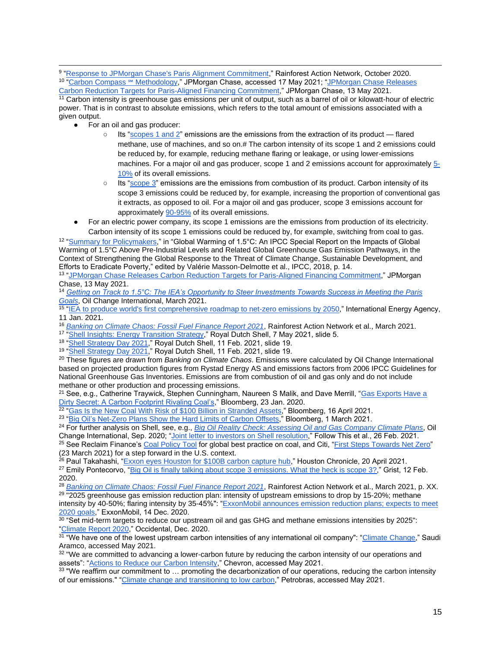9 ["Response to JPMorgan Chase's Paris Alignment Commitment,](https://www.ran.org/wp-content/uploads/2020/10/Briefer_-Response-to-JPMorgan-Chase%E2%80%99s-Paris-Alignment-Announcement.pdf)" Rainforest Action Network, October 2020. <sup>10</sup> "<u>Carbon Compass ℠ Methodology,</u>" JPMorgan Chase, accessed 17 May 2021; "<u>JPMorgan Chase Releases</u>

[Carbon Reduction Targets for Paris-Aligned Financing Commitment,](https://www.jpmorganchase.com/news-stories/jpmorgan-chase-releases-carbon-reduction-targets-for-paris-aligned-financing-commitment)" JPMorgan Chase, 13 May 2021. <sup>11</sup> Carbon intensity is greenhouse gas emissions per unit of output, such as a barrel of oil or kilowatt-hour of electric power. That is in contrast to absolute emissions, which refers to the total amount of emissions associated with a given output.

- For an oil and gas producer:
	- $\circ$  Its ["scopes 1 and 2"](https://ghgprotocol.org/sites/default/files/standards/ghg-protocol-revised.pdf) emissions are the emissions from the extraction of its product flared methane, use of machines, and so on.# The carbon intensity of its scope 1 and 2 emissions could be reduced by, for example, reducing methane flaring or leakage, or using lower-emissions machines. For a major oil and gas producer, scope 1 and 2 emissions account for approximatel[y 5-](https://www.spglobal.com/marketintelligence/en/news-insights/latest-news-headlines/equinor-s-move-to-halve-carbon-intensity-scope-3-emissions-both-praised-panned-56984504) [10%](https://www.spglobal.com/marketintelligence/en/news-insights/latest-news-headlines/equinor-s-move-to-halve-carbon-intensity-scope-3-emissions-both-praised-panned-56984504) of its overall emissions.
	- Its ["scope 3"](https://ghgprotocol.org/sites/default/files/standards/ghg-protocol-revised.pdf) emissions are the emissions from combustion of its product. Carbon intensity of its scope 3 emissions could be reduced by, for example, increasing the proportion of conventional gas it extracts, as opposed to oil. For a major oil and gas producer, scope 3 emissions account for approximatel[y 90-95%](https://www.spglobal.com/marketintelligence/en/news-insights/latest-news-headlines/equinor-s-move-to-halve-carbon-intensity-scope-3-emissions-both-praised-panned-56984504) of its overall emissions.
- For an electric power company, its scope 1 emissions are the emissions from production of its electricity. Carbon intensity of its scope 1 emissions could be reduced by, for example, switching from coal to gas.

<sup>12</sup> ["Summary for Policymakers,](https://www.ipcc.ch/site/assets/uploads/sites/2/2019/05/SR15_SPM_version_report_LR.pdf)" in "Global Warming of 1.5°C: An IPCC Special Report on the Impacts of Global Warming of 1.5°C Above Pre-Industrial Levels and Related Global Greenhouse Gas Emission Pathways, in the Context of Strengthening the Global Response to the Threat of Climate Change, Sustainable Development, and Efforts to Eradicate Poverty," edited by Valérie Masson-Delmotte et al., IPCC, 2018, p. 14.

#### <sup>13</sup> ["JPMorgan Chase Releases Carbon Reduction Targets for Paris-Aligned Financing Commitment,](https://www.jpmorganchase.com/news-stories/jpmorgan-chase-releases-carbon-reduction-targets-for-paris-aligned-financing-commitment)" JPMorgan Chase, 13 May 2021.

<sup>14</sup> *[Getting on Track to 1.5°C: The IEA's Opportunity to Steer Investments Towards Success in Meeting the Paris](https://priceofoil.org/content/uploads/2021/03/IEA_Getting_On_Track_1.5C_briefing.pdf)* 

*[Goals](https://priceofoil.org/content/uploads/2021/03/IEA_Getting_On_Track_1.5C_briefing.pdf)*, Oil Change International, March 2021.<br><sup>15</sup> "<u>IEA to produce world's first comprehensive roadmap to net-zero emissions by 2050</u>," International Energy Agency, 11 Jan. 2021.

- <sup>16</sup> *[Banking on Climate Chaos: Fossil Fuel Finance Report 2021](https://www.ran.org/bankingonclimatechaos2021/)*, Rainforest Action Network et al., March 2021.
- <sup>17</sup> ["Shell Insights: Energy Transition Strategy,"](https://www.shell.com/investors/investor-presentations/2021-investor-presentations/shell-energy-transition-strategy-2021/_jcr_content/par/textimage.stream/1620389862956/ac95286779fb51553cc144afc77f201744c907e0/shell-energy-transition-strategy-2021-presentation.pdf) Royal Dutch Shell, 7 May 2021, slide 5.
- <sup>18</sup> ["Shell Strategy Day 2021,](https://www.shell.com/investors/investor-presentations/2021-investor-presentations/strategy-day-2021/_jcr_content/par/textimage_1038086377.stream/1613410966913/8cd4fe1b174147fa20b33d1c189349dd36a9017d/strategy-day-2021-slides.pdf)" Royal Dutch Shell, 11 Feb. 2021, slide 19.
- <sup>19</sup> ["Shell Strategy Day 2021,](https://www.shell.com/investors/investor-presentations/2021-investor-presentations/strategy-day-2021/_jcr_content/par/textimage_1038086377.stream/1613410966913/8cd4fe1b174147fa20b33d1c189349dd36a9017d/strategy-day-2021-slides.pdf)" Royal Dutch Shell, 11 Feb. 2021, slide 19.

<sup>20</sup> These figures are drawn from *Banking on Climate Chaos*. Emissions were calculated by Oil Change International based on projected production figures from Rystad Energy AS and emissions factors from 2006 IPCC Guidelines for National Greenhouse Gas Inventories. Emissions are from combustion of oil and gas only and do not include methane or other production and processing emissions.

<sup>21</sup> See, e.g., Catherine Traywick, Stephen Cunningham, Naureen S Malik, and Dave Merrill, ["Gas Exports Have a](https://www.bloomberg.com/news/articles/2020-01-23/gas-exports-have-dirty-secret-a-carbon-footprint-rivaling-coal-s?sref=gPAG2MJ8)  [Dirty Secret: A Carbon Footprint Rivaling Coal's,](https://www.bloomberg.com/news/articles/2020-01-23/gas-exports-have-dirty-secret-a-carbon-footprint-rivaling-coal-s?sref=gPAG2MJ8)" Bloomberg, 23 Jan. 2020.

<sup>22 "</sup>Gas Is the New Coal With Risk of \$100 Billion in Stranded Assets," Bloomberg, 16 April 2021.<br><sup>23 "</sup>Big Oil's Net-Zero Plans Show the Hard Limits of Carbon Offsets," Bloomberg, 1 March 2021.

<sup>24</sup> For further analysis on Shell, see, e.g., *[Big Oil Reality Check: Assessing Oil and Gas Company Climate Plans](http://priceofoil.org/2020/09/23/big-oil-reality-check/)*, Oil Change International, Sep. 2020; ["Joint letter to investors on Shell resolution,](https://reclaimfinance.org/site/wp-content/uploads/2021/04/Joint-letter-to-investors-on-Shell-resolution-Feb-2021-26.02-final.pdf)" Follow This et al., 26 Feb. 2021.

<sup>25</sup> See Reclaim Finance'[s Coal Policy Tool](https://coalpolicytool.org/best_practices/) for global best practice on coal, and Citi, ["First Steps Towards Net Zero"](https://blog.citigroup.com/2021/03/first-steps-towards-net-zero/) (23 March 2021) for a step forward in the U.S. context.

<sup>26</sup> Paul Takahashi, "<u>Exxon eyes Houston for \$100B carbon capture hub</u>," Houston Chronicle, 20 April 2021.

<sup>27</sup> Emily Pontecorvo, ["Big Oil is finally talking about scope 3 emissions. What the heck is scope 3?,](https://grist.org/energy/big-oil-is-finally-talking-about-the-elephant-in-the-room-the-emissions-footprint-of-its-products/)" Grist, 12 Feb. 2020.

<sup>28</sup> *[Banking on Climate Chaos: Fossil Fuel Finance Report 2021](https://www.ran.org/bankingonclimatechaos2021/)*, Rainforest Action Network et al., March 2021, p. XX. <sup>29</sup> "2025 greenhouse gas emission reduction plan: intensity of upstream emissions to drop by 15-20%; methane intensity by 40-50%; flaring intensity by 35-45%": ["ExxonMobil announces emission reduction plans; expects](https://corporate.exxonmobil.com/News/Newsroom/News-releases/2020/1214_ExxonMobil-announces-2025-emissions-reductions_expects-to-meet-2020-plan) to meet [2020 goals,](https://corporate.exxonmobil.com/News/Newsroom/News-releases/2020/1214_ExxonMobil-announces-2025-emissions-reductions_expects-to-meet-2020-plan)" ExxonMobil, 14 Dec. 2020.

 $30$  "Set mid-term targets to reduce our upstream oil and gas GHG and methane emissions intensities by 2025": ["Climate Report 2020,](https://www.oxy.com/Sustainability/overview/Documents/ClimateReport2020.pdf)" Occidental, Dec. 2020.

<sup>37</sup> "We have one of the lowest upstream carbon intensities of any international oil company": ["Climate Change,](https://www.aramco.com/en/making-a-difference/planet/oil-and-gas-climate-initiative)" Saudi Aramco, accessed May 2021.

<sup>32</sup> "We are committed to advancing a lower-carbon future by reducing the carbon intensity of our operations and assets": ["Actions to Reduce our Carbon Intensity,](https://www.chevron.com/sustainability/environment/lowering-carbon-intensity)" Chevron, accessed May 2021.

<sup>33</sup> "We reaffirm our commitment to ... promoting the decarbonization of our operations, reducing the carbon intensity of our emissions." ["Climate change and transitioning to low carbon,](https://petrobras.com.br/en/society-and-environment/environment/climate-changes/)" Petrobras, accessed May 2021.